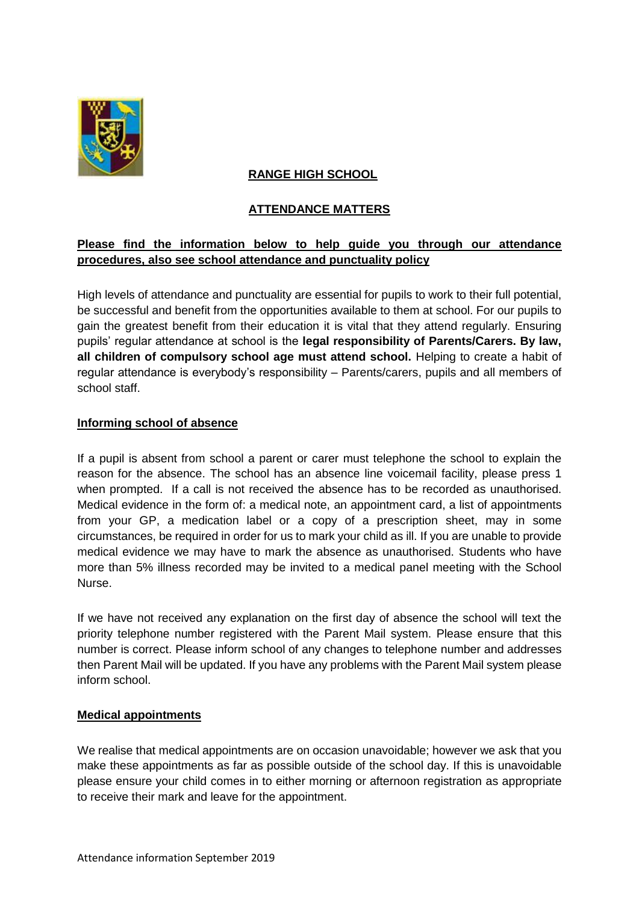

# **RANGE HIGH SCHOOL**

# **ATTENDANCE MATTERS**

# **Please find the information below to help guide you through our attendance procedures, also see school attendance and punctuality policy**

High levels of attendance and punctuality are essential for pupils to work to their full potential, be successful and benefit from the opportunities available to them at school. For our pupils to gain the greatest benefit from their education it is vital that they attend regularly. Ensuring pupils' regular attendance at school is the **legal responsibility of Parents/Carers. By law, all children of compulsory school age must attend school.** Helping to create a habit of regular attendance is everybody's responsibility – Parents/carers, pupils and all members of school staff.

# **Informing school of absence**

If a pupil is absent from school a parent or carer must telephone the school to explain the reason for the absence. The school has an absence line voicemail facility, please press 1 when prompted. If a call is not received the absence has to be recorded as unauthorised. Medical evidence in the form of: a medical note, an appointment card, a list of appointments from your GP, a medication label or a copy of a prescription sheet, may in some circumstances, be required in order for us to mark your child as ill. If you are unable to provide medical evidence we may have to mark the absence as unauthorised. Students who have more than 5% illness recorded may be invited to a medical panel meeting with the School Nurse.

If we have not received any explanation on the first day of absence the school will text the priority telephone number registered with the Parent Mail system. Please ensure that this number is correct. Please inform school of any changes to telephone number and addresses then Parent Mail will be updated. If you have any problems with the Parent Mail system please inform school.

### **Medical appointments**

We realise that medical appointments are on occasion unavoidable; however we ask that you make these appointments as far as possible outside of the school day. If this is unavoidable please ensure your child comes in to either morning or afternoon registration as appropriate to receive their mark and leave for the appointment.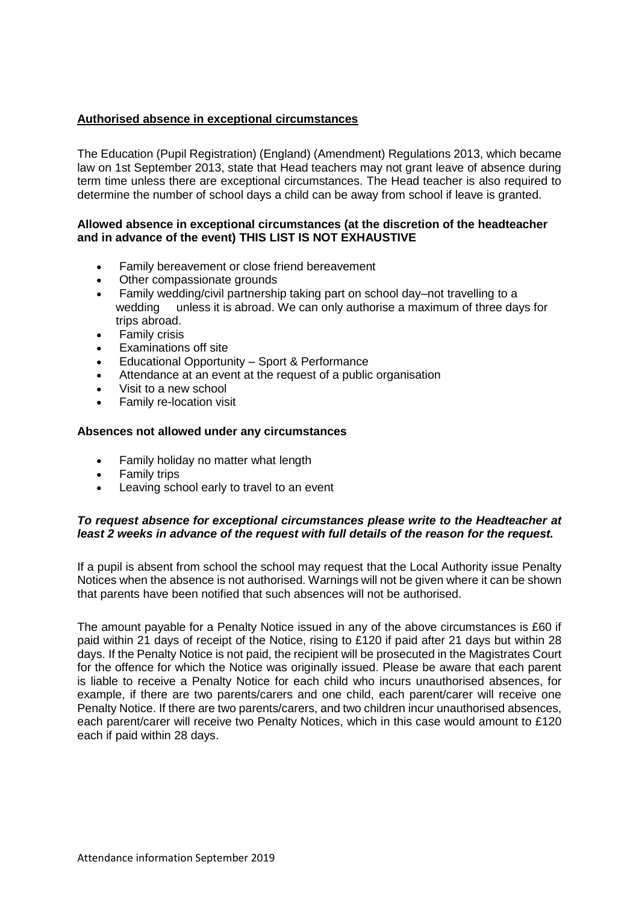## **Authorised absence in exceptional circumstances**

The Education (Pupil Registration) (England) (Amendment) Regulations 2013, which became law on 1st September 2013, state that Head teachers may not grant leave of absence during term time unless there are exceptional circumstances. The Head teacher is also required to determine the number of school days a child can be away from school if leave is granted.

#### **Allowed absence in exceptional circumstances (at the discretion of the headteacher and in advance of the event) THIS LIST IS NOT EXHAUSTIVE**

- Family bereavement or close friend bereavement
- Other compassionate grounds
- Family wedding/civil partnership taking part on school day–not travelling to a wedding unless it is abroad. We can only authorise a maximum of three days for trips abroad.
- Family crisis
- Examinations off site
- Educational Opportunity Sport & Performance
- Attendance at an event at the request of a public organisation
- Visit to a new school
- Family re-location visit

### **Absences not allowed under any circumstances**

- Family holiday no matter what length
- Family trips
- Leaving school early to travel to an event

### *To request absence for exceptional circumstances please write to the Headteacher at least 2 weeks in advance of the request with full details of the reason for the request.*

If a pupil is absent from school the school may request that the Local Authority issue Penalty Notices when the absence is not authorised. Warnings will not be given where it can be shown that parents have been notified that such absences will not be authorised.

The amount payable for a Penalty Notice issued in any of the above circumstances is £60 if paid within 21 days of receipt of the Notice, rising to £120 if paid after 21 days but within 28 days. If the Penalty Notice is not paid, the recipient will be prosecuted in the Magistrates Court for the offence for which the Notice was originally issued. Please be aware that each parent is liable to receive a Penalty Notice for each child who incurs unauthorised absences, for example, if there are two parents/carers and one child, each parent/carer will receive one Penalty Notice. If there are two parents/carers, and two children incur unauthorised absences, each parent/carer will receive two Penalty Notices, which in this case would amount to £120 each if paid within 28 days.